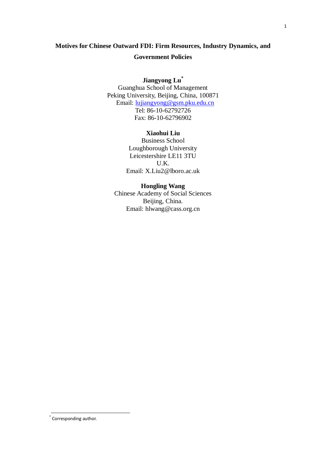# **Motives for Chinese Outward FDI: Firm Resources, Industry Dynamics, and Government Policies**

# **Jiangyong Lu\***

Guanghua School of Management Peking University, Beijing, China, 100871 Email: [lujiangyong@gsm.pku.edu.cn](mailto:lujiangyong@gsm.pku.edu.cn) Tel: 86-10-62792726 Fax: 86-10-62796902

## **Xiaohui Liu**

Business School Loughborough University Leicestershire LE11 3TU U.K. Email: X.Liu2@lboro.ac.uk

# **Hongling Wang**

Chinese Academy of Social Sciences Beijing, China. Email: hlwang@cass.org.cn

 $\overline{a}$ 

<sup>\*</sup> Corresponding author.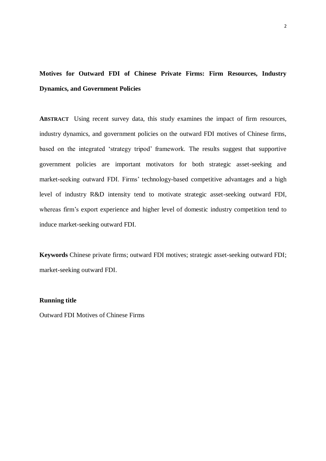# **Motives for Outward FDI of Chinese Private Firms: Firm Resources, Industry Dynamics, and Government Policies**

**ABSTRACT** Using recent survey data, this study examines the impact of firm resources, industry dynamics, and government policies on the outward FDI motives of Chinese firms, based on the integrated "strategy tripod" framework. The results suggest that supportive government policies are important motivators for both strategic asset-seeking and market-seeking outward FDI. Firms' technology-based competitive advantages and a high level of industry R&D intensity tend to motivate strategic asset-seeking outward FDI, whereas firm"s export experience and higher level of domestic industry competition tend to induce market-seeking outward FDI.

**Keywords** Chinese private firms; outward FDI motives; strategic asset-seeking outward FDI; market-seeking outward FDI.

#### **Running title**

Outward FDI Motives of Chinese Firms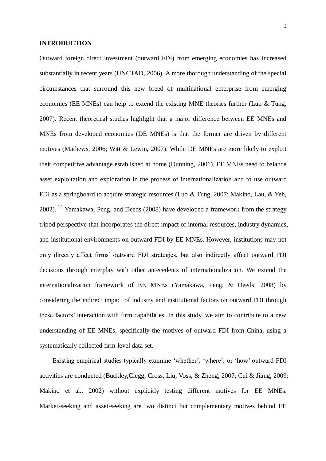#### **INTRODUCTION**

Outward foreign direct investment (outward FDI) from emerging economies has increased substantially in recent years (UNCTAD, 2006). A more thorough understanding of the special circumstances that surround this new breed of multinational enterprise from emerging economies (EE MNEs) can help to extend the existing MNE theories further (Luo & Tung, 2007). Recent theoretical studies highlight that a major difference between EE MNEs and MNEs from developed economies (DE MNEs) is that the former are driven by different motives (Mathews, 2006; Witt & Lewin, 2007). While DE MNEs are more likely to exploit their competitive advantage established at home (Dunning, 2001), EE MNEs need to balance asset exploitation and exploration in the process of internationalization and to use outward FDI as a springboard to acquire strategic resources (Luo & Tung, 2007; Makino, Lau, & Yeh, 2002). <sup>[1]</sup> Yamakawa, Peng, and Deeds (2008) have developed a framework from the strategy tripod perspective that incorporates the direct impact of internal resources, industry dynamics, and institutional environments on outward FDI by EE MNEs. However, institutions may not only directly affect firms" outward FDI strategies, but also indirectly affect outward FDI decisions through interplay with other antecedents of internationalization. We extend the internationalization framework of EE MNEs (Yamakawa, Peng, & Deeds, 2008) by considering the indirect impact of industry and institutional factors on outward FDI through these factors' interaction with firm capabilities. In this study, we aim to contribute to a new understanding of EE MNEs, specifically the motives of outward FDI from China, using a systematically collected firm-level data set.

Existing empirical studies typically examine 'whether', 'where', or 'how' outward FDI activities are conducted (Buckley,Clegg, Cross, Liu, Voss, & Zheng, 2007; Cui & Jiang, 2009; Makino et al., 2002) without explicitly testing different motives for EE MNEs. Market-seeking and asset-seeking are two distinct but complementary motives behind EE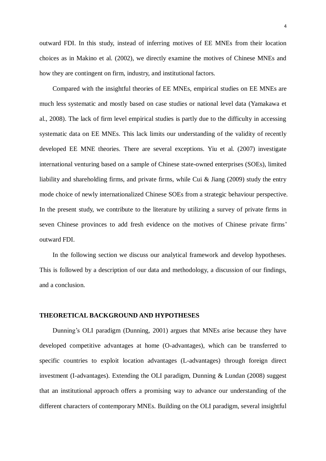outward FDI. In this study, instead of inferring motives of EE MNEs from their location choices as in Makino et al. (2002), we directly examine the motives of Chinese MNEs and how they are contingent on firm, industry, and institutional factors.

Compared with the insightful theories of EE MNEs, empirical studies on EE MNEs are much less systematic and mostly based on case studies or national level data (Yamakawa et al., 2008). The lack of firm level empirical studies is partly due to the difficulty in accessing systematic data on EE MNEs. This lack limits our understanding of the validity of recently developed EE MNE theories. There are several exceptions. Yiu et al. (2007) investigate international venturing based on a sample of Chinese state-owned enterprises (SOEs), limited liability and shareholding firms, and private firms, while Cui & Jiang (2009) study the entry mode choice of newly internationalized Chinese SOEs from a strategic behaviour perspective. In the present study, we contribute to the literature by utilizing a survey of private firms in seven Chinese provinces to add fresh evidence on the motives of Chinese private firms' outward FDI.

In the following section we discuss our analytical framework and develop hypotheses. This is followed by a description of our data and methodology, a discussion of our findings, and a conclusion.

# **THEORETICAL BACKGROUND AND HYPOTHESES**

Dunning"s OLI paradigm (Dunning, 2001) argues that MNEs arise because they have developed competitive advantages at home (O-advantages), which can be transferred to specific countries to exploit location advantages (L-advantages) through foreign direct investment (I-advantages). Extending the OLI paradigm, Dunning & Lundan (2008) suggest that an institutional approach offers a promising way to advance our understanding of the different characters of contemporary MNEs. Building on the OLI paradigm, several insightful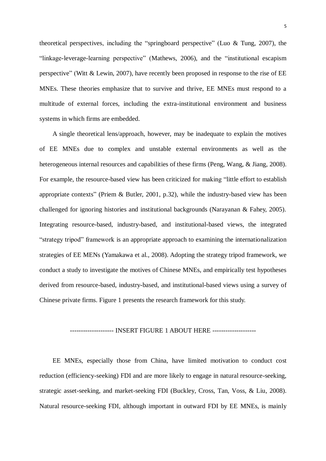theoretical perspectives, including the "springboard perspective" (Luo & Tung, 2007), the "linkage-leverage-learning perspective" (Mathews, 2006), and the "institutional escapism perspective" (Witt & Lewin, 2007), have recently been proposed in response to the rise of EE MNEs. These theories emphasize that to survive and thrive, EE MNEs must respond to a multitude of external forces, including the extra-institutional environment and business systems in which firms are embedded.

A single theoretical lens/approach, however, may be inadequate to explain the motives of EE MNEs due to complex and unstable external environments as well as the heterogeneous internal resources and capabilities of these firms (Peng, Wang, & Jiang, 2008). For example, the resource-based view has been criticized for making "little effort to establish appropriate contexts" (Priem & Butler, 2001, p.32), while the industry-based view has been challenged for ignoring histories and institutional backgrounds (Narayanan & Fahey, 2005). Integrating resource-based, industry-based, and institutional-based views, the integrated "strategy tripod" framework is an appropriate approach to examining the internationalization strategies of EE MENs (Yamakawa et al., 2008). Adopting the strategy tripod framework, we conduct a study to investigate the motives of Chinese MNEs, and empirically test hypotheses derived from resource-based, industry-based, and institutional-based views using a survey of Chinese private firms. Figure 1 presents the research framework for this study.

#### -------------------- INSERT FIGURE 1 ABOUT HERE --------------------

EE MNEs, especially those from China, have limited motivation to conduct cost reduction (efficiency-seeking) FDI and are more likely to engage in natural resource-seeking, strategic asset-seeking, and market-seeking FDI (Buckley, Cross, Tan, Voss, & Liu, 2008). Natural resource-seeking FDI, although important in outward FDI by EE MNEs, is mainly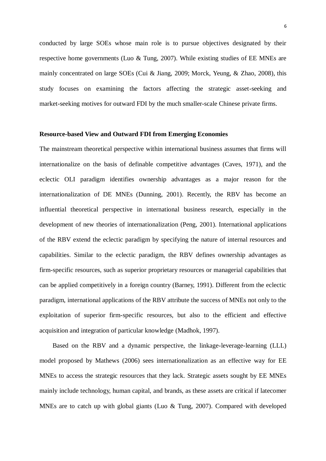conducted by large SOEs whose main role is to pursue objectives designated by their respective home governments (Luo & Tung, 2007). While existing studies of EE MNEs are mainly concentrated on large SOEs (Cui & Jiang, 2009; Morck, Yeung, & Zhao, 2008), this study focuses on examining the factors affecting the strategic asset-seeking and market-seeking motives for outward FDI by the much smaller-scale Chinese private firms.

#### **Resource-based View and Outward FDI from Emerging Economies**

The mainstream theoretical perspective within international business assumes that firms will internationalize on the basis of definable competitive advantages (Caves, 1971), and the eclectic OLI paradigm identifies ownership advantages as a major reason for the internationalization of DE MNEs (Dunning, 2001). Recently, the RBV has become an influential theoretical perspective in international business research, especially in the development of new theories of internationalization (Peng, 2001). International applications of the RBV extend the eclectic paradigm by specifying the nature of internal resources and capabilities. Similar to the eclectic paradigm, the RBV defines ownership advantages as firm-specific resources, such as superior proprietary resources or managerial capabilities that can be applied competitively in a foreign country (Barney, 1991). Different from the eclectic paradigm, international applications of the RBV attribute the success of MNEs not only to the exploitation of superior firm-specific resources, but also to the efficient and effective acquisition and integration of particular knowledge (Madhok, 1997).

Based on the RBV and a dynamic perspective, the linkage-leverage-learning (LLL) model proposed by Mathews (2006) sees internationalization as an effective way for EE MNEs to access the strategic resources that they lack. Strategic assets sought by EE MNEs mainly include technology, human capital, and brands, as these assets are critical if latecomer MNEs are to catch up with global giants (Luo & Tung, 2007). Compared with developed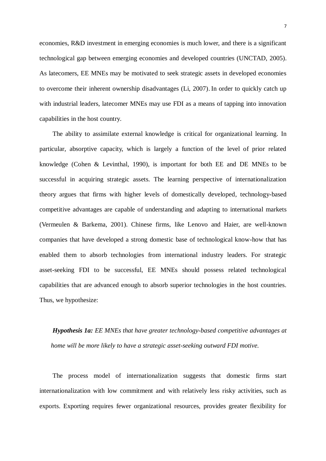economies, R&D investment in emerging economies is much lower, and there is a significant technological gap between emerging economies and developed countries (UNCTAD, 2005). As latecomers, EE MNEs may be motivated to seek strategic assets in developed economies to overcome their inherent ownership disadvantages (Li, 2007). In order to quickly catch up with industrial leaders, latecomer MNEs may use FDI as a means of tapping into innovation capabilities in the host country.

The ability to assimilate external knowledge is critical for organizational learning. In particular, absorptive capacity, which is largely a function of the level of prior related knowledge (Cohen & Levinthal, 1990), is important for both EE and DE MNEs to be successful in acquiring strategic assets. The learning perspective of internationalization theory argues that firms with higher levels of domestically developed, technology-based competitive advantages are capable of understanding and adapting to international markets (Vermeulen & Barkema, 2001). Chinese firms, like Lenovo and Haier, are well-known companies that have developed a strong domestic base of technological know-how that has enabled them to absorb technologies from international industry leaders. For strategic asset-seeking FDI to be successful, EE MNEs should possess related technological capabilities that are advanced enough to absorb superior technologies in the host countries. Thus, we hypothesize:

*Hypothesis 1a: EE MNEs that have greater technology-based competitive advantages at home will be more likely to have a strategic asset-seeking outward FDI motive.*

The process model of internationalization suggests that domestic firms start internationalization with low commitment and with relatively less risky activities, such as exports. Exporting requires fewer organizational resources, provides greater flexibility for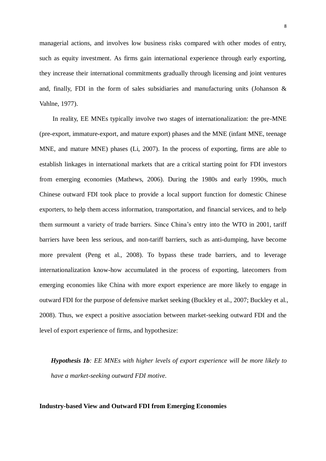managerial actions, and involves low business risks compared with other modes of entry, such as equity investment. As firms gain international experience through early exporting, they increase their international commitments gradually through licensing and joint ventures and, finally, FDI in the form of sales subsidiaries and manufacturing units (Johanson & Vahlne, 1977).

In reality, EE MNEs typically involve two stages of internationalization: the pre-MNE (pre-export, immature-export, and mature export) phases and the MNE (infant MNE, teenage MNE, and mature MNE) phases (Li, 2007). In the process of exporting, firms are able to establish linkages in international markets that are a critical starting point for FDI investors from emerging economies (Mathews, 2006). During the 1980s and early 1990s, much Chinese outward FDI took place to provide a local support function for domestic Chinese exporters, to help them access information, transportation, and financial services, and to help them surmount a variety of trade barriers. Since China"s entry into the WTO in 2001, tariff barriers have been less serious, and non-tariff barriers, such as anti-dumping, have become more prevalent (Peng et al., 2008). To bypass these trade barriers, and to leverage internationalization know-how accumulated in the process of exporting, latecomers from emerging economies like China with more export experience are more likely to engage in outward FDI for the purpose of defensive market seeking (Buckley et al., 2007; Buckley et al., 2008). Thus, we expect a positive association between market-seeking outward FDI and the level of export experience of firms, and hypothesize:

*Hypothesis 1b: EE MNEs with higher levels of export experience will be more likely to have a market-seeking outward FDI motive.*

#### **Industry-based View and Outward FDI from Emerging Economies**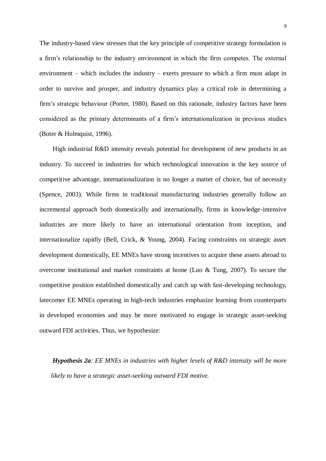The industry-based view stresses that the key principle of competitive strategy formulation is a firm"s relationship to the industry environment in which the firm competes. The external environment – which includes the industry – exerts pressure to which a firm must adapt in order to survive and prosper, and industry dynamics play a critical role in determining a firm"s strategic behaviour (Porter, 1980). Based on this rationale, industry factors have been considered as the primary determinants of a firm"s internationalization in previous studies (Boter & Holmquist, 1996).

High industrial R&D intensity reveals potential for development of new products in an industry. To succeed in industries for which technological innovation is the key source of competitive advantage, internationalization is no longer a matter of choice, but of necessity (Spence, 2003). While firms in traditional manufacturing industries generally follow an incremental approach both domestically and internationally, firms in knowledge-intensive industries are more likely to have an international orientation from inception, and internationalize rapidly (Bell, Crick, & Young, 2004). Facing constraints on strategic asset development domestically, EE MNEs have strong incentives to acquire these assets abroad to overcome institutional and market constraints at home (Luo & Tung, 2007). To secure the competitive position established domestically and catch up with fast-developing technology, latecomer EE MNEs operating in high-tech industries emphasize learning from counterparts in developed economies and may be more motivated to engage in strategic asset-seeking outward FDI activities. Thus, we hypothesize:

*Hypothesis 2a: EE MNEs in industries with higher levels of R&D intensity will be more likely to have a strategic asset-seeking outward FDI motive.*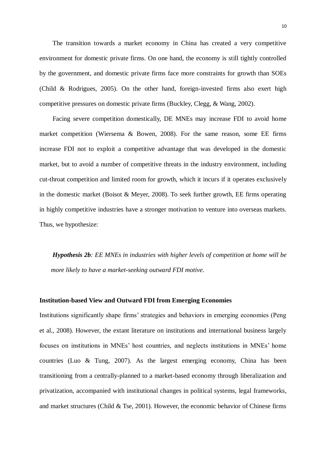The transition towards a market economy in China has created a very competitive environment for domestic private firms. On one hand, the economy is still tightly controlled by the government, and domestic private firms face more constraints for growth than SOEs (Child & Rodrigues, 2005). On the other hand, foreign-invested firms also exert high competitive pressures on domestic private firms (Buckley, Clegg, & Wang, 2002).

Facing severe competition domestically, DE MNEs may increase FDI to avoid home market competition (Wiersema & Bowen, 2008). For the same reason, some EE firms increase FDI not to exploit a competitive advantage that was developed in the domestic market, but to avoid a number of competitive threats in the industry environment, including cut-throat competition and limited room for growth, which it incurs if it operates exclusively in the domestic market (Boisot & Meyer, 2008). To seek further growth, EE firms operating in highly competitive industries have a stronger motivation to venture into overseas markets. Thus, we hypothesize:

*Hypothesis 2b: EE MNEs in industries with higher levels of competition at home will be more likely to have a market-seeking outward FDI motive.*

#### **Institution-based View and Outward FDI from Emerging Economies**

Institutions significantly shape firms" strategies and behaviors in emerging economies (Peng et al., 2008). However, the extant literature on institutions and international business largely focuses on institutions in MNEs" host countries, and neglects institutions in MNEs" home countries (Luo & Tung, 2007). As the largest emerging economy, China has been transitioning from a centrally-planned to a market-based economy through liberalization and privatization, accompanied with institutional changes in political systems, legal frameworks, and market structures (Child & Tse, 2001). However, the economic behavior of Chinese firms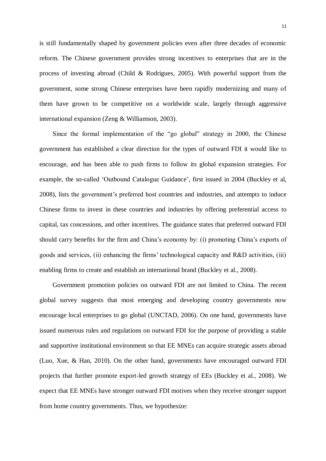is still fundamentally shaped by government policies even after three decades of economic reform. The Chinese government provides strong incentives to enterprises that are in the process of investing abroad (Child & Rodrigues, 2005). With powerful support from the government, some strong Chinese enterprises have been rapidly modernizing and many of them have grown to be competitive on a worldwide scale, largely through aggressive international expansion (Zeng & Williamson, 2003).

Since the formal implementation of the "go global" strategy in 2000, the Chinese government has established a clear direction for the types of outward FDI it would like to encourage, and has been able to push firms to follow its global expansion strategies. For example, the so-called "Outbound Catalogue Guidance", first issued in 2004 (Buckley et al, 2008), lists the government"s preferred host countries and industries, and attempts to induce Chinese firms to invest in these countries and industries by offering preferential access to capital, tax concessions, and other incentives. The guidance states that preferred outward FDI should carry benefits for the firm and China's economy by: (i) promoting China's exports of goods and services, (ii) enhancing the firms" technological capacity and R&D activities, (iii) enabling firms to create and establish an international brand (Buckley et al., 2008).

Government promotion policies on outward FDI are not limited to China. The recent global survey suggests that most emerging and developing country governments now encourage local enterprises to go global (UNCTAD, 2006). On one hand, governments have issued numerous rules and regulations on outward FDI for the purpose of providing a stable and supportive institutional environment so that EE MNEs can acquire strategic assets abroad (Luo, Xue, & Han, 2010). On the other hand, governments have encouraged outward FDI projects that further promote export-led growth strategy of EEs (Buckley et al., 2008). We expect that EE MNEs have stronger outward FDI motives when they receive stronger support from home country governments. Thus, we hypothesize: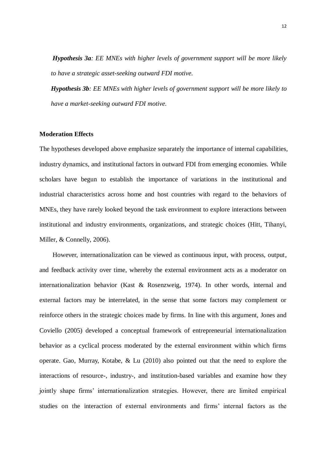*Hypothesis 3a: EE MNEs with higher levels of government support will be more likely to have a strategic asset-seeking outward FDI motive.*

*Hypothesis 3b: EE MNEs with higher levels of government support will be more likely to have a market-seeking outward FDI motive.*

## **Moderation Effects**

The hypotheses developed above emphasize separately the importance of internal capabilities, industry dynamics, and institutional factors in outward FDI from emerging economies. While scholars have begun to establish the importance of variations in the institutional and industrial characteristics across home and host countries with regard to the behaviors of MNEs, they have rarely looked beyond the task environment to explore interactions between institutional and industry environments, organizations, and strategic choices (Hitt, Tihanyi, Miller, & Connelly, 2006).

However, internationalization can be viewed as continuous input, with process, output, and feedback activity over time, whereby the external environment acts as a moderator on internationalization behavior (Kast & Rosenzweig, 1974). In other words, internal and external factors may be interrelated, in the sense that some factors may complement or reinforce others in the strategic choices made by firms. In line with this argument, Jones and Coviello (2005) developed a conceptual framework of entrepreneurial internationalization behavior as a cyclical process moderated by the external environment within which firms operate. Gao, Murray, Kotabe, & Lu (2010) also pointed out that the need to explore the interactions of resource-, industry-, and institution-based variables and examine how they jointly shape firms' internationalization strategies. However, there are limited empirical studies on the interaction of external environments and firms" internal factors as the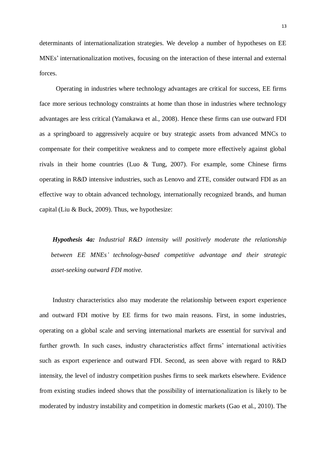determinants of internationalization strategies. We develop a number of hypotheses on EE MNEs" internationalization motives, focusing on the interaction of these internal and external forces.

Operating in industries where technology advantages are critical for success, EE firms face more serious technology constraints at home than those in industries where technology advantages are less critical (Yamakawa et al., 2008). Hence these firms can use outward FDI as a springboard to aggressively acquire or buy strategic assets from advanced MNCs to compensate for their competitive weakness and to compete more effectively against global rivals in their home countries (Luo & Tung, 2007). For example, some Chinese firms operating in R&D intensive industries, such as Lenovo and ZTE, consider outward FDI as an effective way to obtain advanced technology, internationally recognized brands, and human capital (Liu & Buck, 2009). Thus, we hypothesize:

*Hypothesis 4a: Industrial R&D intensity will positively moderate the relationship between EE MNEs' technology-based competitive advantage and their strategic asset-seeking outward FDI motive.*

Industry characteristics also may moderate the relationship between export experience and outward FDI motive by EE firms for two main reasons. First, in some industries, operating on a global scale and serving international markets are essential for survival and further growth. In such cases, industry characteristics affect firms' international activities such as export experience and outward FDI. Second, as seen above with regard to R&D intensity, the level of industry competition pushes firms to seek markets elsewhere. Evidence from existing studies indeed shows that the possibility of internationalization is likely to be moderated by industry instability and competition in domestic markets (Gao et al., 2010). The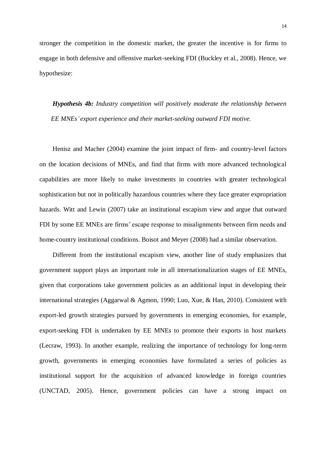stronger the competition in the domestic market, the greater the incentive is for firms to engage in both defensive and offensive market-seeking FDI (Buckley et al., 2008). Hence, we hypothesize:

*Hypothesis 4b: Industry competition will positively moderate the relationship between EE MNEs' export experience and their market-seeking outward FDI motive.*

Henisz and Macher (2004) examine the joint impact of firm- and country-level factors on the location decisions of MNEs, and find that firms with more advanced technological capabilities are more likely to make investments in countries with greater technological sophistication but not in politically hazardous countries where they face greater expropriation hazards. Witt and Lewin (2007) take an institutional escapism view and argue that outward FDI by some EE MNEs are firms' escape response to misalignments between firm needs and home-country institutional conditions. Boisot and Meyer (2008) had a similar observation.

Different from the institutional escapism view, another line of study emphasizes that government support plays an important role in all internationalization stages of EE MNEs, given that corporations take government policies as an additional input in developing their international strategies (Aggarwal & Agmon, 1990; Luo, Xue, & Han, 2010). Consistent with export-led growth strategies pursued by governments in emerging economies, for example, export-seeking FDI is undertaken by EE MNEs to promote their exports in host markets (Lecraw, 1993). In another example, realizing the importance of technology for long-term growth, governments in emerging economies have formulated a series of policies as institutional support for the acquisition of advanced knowledge in foreign countries (UNCTAD, 2005). Hence, government policies can have a strong impact on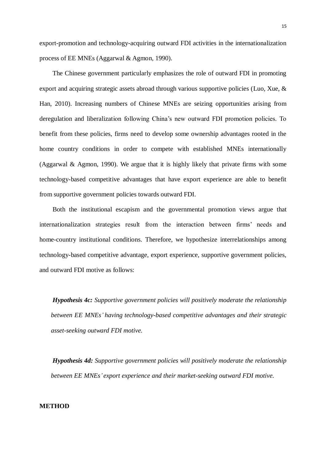export-promotion and technology-acquiring outward FDI activities in the internationalization process of EE MNEs (Aggarwal & Agmon, 1990).

The Chinese government particularly emphasizes the role of outward FDI in promoting export and acquiring strategic assets abroad through various supportive policies (Luo, Xue, & Han, 2010). Increasing numbers of Chinese MNEs are seizing opportunities arising from deregulation and liberalization following China"s new outward FDI promotion policies. To benefit from these policies, firms need to develop some ownership advantages rooted in the home country conditions in order to compete with established MNEs internationally (Aggarwal & Agmon, 1990). We argue that it is highly likely that private firms with some technology-based competitive advantages that have export experience are able to benefit from supportive government policies towards outward FDI.

Both the institutional escapism and the governmental promotion views argue that internationalization strategies result from the interaction between firms' needs and home-country institutional conditions. Therefore, we hypothesize interrelationships among technology-based competitive advantage, export experience, supportive government policies, and outward FDI motive as follows:

*Hypothesis 4c: Supportive government policies will positively moderate the relationship between EE MNEs' having technology-based competitive advantages and their strategic asset-seeking outward FDI motive.*

*Hypothesis 4d: Supportive government policies will positively moderate the relationship between EE MNEs' export experience and their market-seeking outward FDI motive.*

# **METHOD**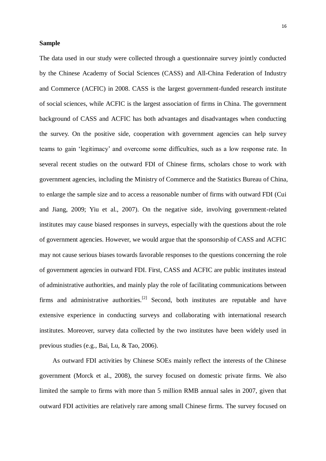#### **Sample**

The data used in our study were collected through a questionnaire survey jointly conducted by the Chinese Academy of Social Sciences (CASS) and All-China Federation of Industry and Commerce (ACFIC) in 2008. CASS is the largest government-funded research institute of social sciences, while ACFIC is the largest association of firms in China. The government background of CASS and ACFIC has both advantages and disadvantages when conducting the survey. On the positive side, cooperation with government agencies can help survey teams to gain "legitimacy" and overcome some difficulties, such as a low response rate. In several recent studies on the outward FDI of Chinese firms, scholars chose to work with government agencies, including the Ministry of Commerce and the Statistics Bureau of China, to enlarge the sample size and to access a reasonable number of firms with outward FDI (Cui and Jiang, 2009; Yiu et al., 2007). On the negative side, involving government-related institutes may cause biased responses in surveys, especially with the questions about the role of government agencies. However, we would argue that the sponsorship of CASS and ACFIC may not cause serious biases towards favorable responses to the questions concerning the role of government agencies in outward FDI. First, CASS and ACFIC are public institutes instead of administrative authorities, and mainly play the role of facilitating communications between firms and administrative authorities.<sup>[2]</sup> Second, both institutes are reputable and have extensive experience in conducting surveys and collaborating with international research institutes. Moreover, survey data collected by the two institutes have been widely used in previous studies (e.g., Bai, Lu, & Tao, 2006).

As outward FDI activities by Chinese SOEs mainly reflect the interests of the Chinese government (Morck et al., 2008), the survey focused on domestic private firms. We also limited the sample to firms with more than 5 million RMB annual sales in 2007, given that outward FDI activities are relatively rare among small Chinese firms. The survey focused on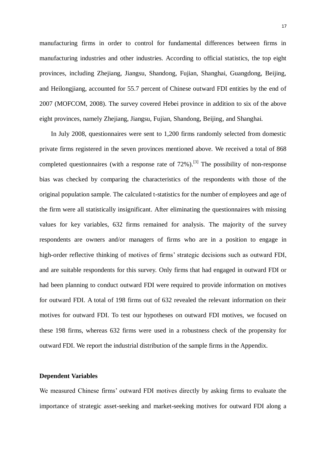manufacturing firms in order to control for fundamental differences between firms in manufacturing industries and other industries. According to official statistics, the top eight provinces, including Zhejiang, Jiangsu, Shandong, Fujian, Shanghai, Guangdong, Beijing, and Heilongjiang, accounted for 55.7 percent of Chinese outward FDI entities by the end of 2007 (MOFCOM, 2008). The survey covered Hebei province in addition to six of the above eight provinces, namely Zhejiang, Jiangsu, Fujian, Shandong, Beijing, and Shanghai.

In July 2008, questionnaires were sent to 1,200 firms randomly selected from domestic private firms registered in the seven provinces mentioned above. We received a total of 868 completed questionnaires (with a response rate of  $72\%$ ).<sup>[3]</sup> The possibility of non-response bias was checked by comparing the characteristics of the respondents with those of the original population sample. The calculated t-statistics for the number of employees and age of the firm were all statistically insignificant. After eliminating the questionnaires with missing values for key variables, 632 firms remained for analysis. The majority of the survey respondents are owners and/or managers of firms who are in a position to engage in high-order reflective thinking of motives of firms' strategic decisions such as outward FDI, and are suitable respondents for this survey. Only firms that had engaged in outward FDI or had been planning to conduct outward FDI were required to provide information on motives for outward FDI. A total of 198 firms out of 632 revealed the relevant information on their motives for outward FDI. To test our hypotheses on outward FDI motives, we focused on these 198 firms, whereas 632 firms were used in a robustness check of the propensity for outward FDI. We report the industrial distribution of the sample firms in the Appendix.

# **Dependent Variables**

We measured Chinese firms' outward FDI motives directly by asking firms to evaluate the importance of strategic asset-seeking and market-seeking motives for outward FDI along a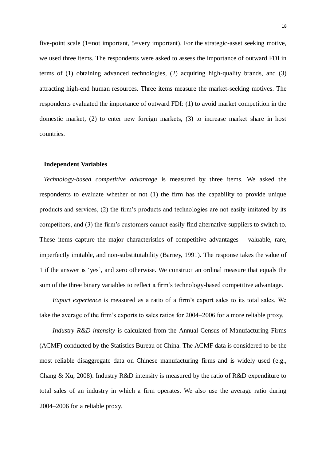five-point scale (1=not important, 5=very important). For the strategic-asset seeking motive, we used three items. The respondents were asked to assess the importance of outward FDI in terms of (1) obtaining advanced technologies, (2) acquiring high-quality brands, and (3) attracting high-end human resources. Three items measure the market-seeking motives. The respondents evaluated the importance of outward FDI: (1) to avoid market competition in the domestic market, (2) to enter new foreign markets, (3) to increase market share in host countries.

#### **Independent Variables**

*Technology-based competitive advantage* is measured by three items. We asked the respondents to evaluate whether or not (1) the firm has the capability to provide unique products and services, (2) the firm"s products and technologies are not easily imitated by its competitors, and (3) the firm"s customers cannot easily find alternative suppliers to switch to. These items capture the major characteristics of competitive advantages – valuable, rare, imperfectly imitable, and non-substitutability (Barney, 1991). The response takes the value of 1 if the answer is "yes", and zero otherwise. We construct an ordinal measure that equals the sum of the three binary variables to reflect a firm"s technology-based competitive advantage.

*Export experience* is measured as a ratio of a firm's export sales to its total sales. We take the average of the firm"s exports to sales ratios for 2004–2006 for a more reliable proxy.

*Industry R&D intensity* is calculated from the Annual Census of Manufacturing Firms (ACMF) conducted by the Statistics Bureau of China. The ACMF data is considered to be the most reliable disaggregate data on Chinese manufacturing firms and is widely used (e.g., Chang & Xu, 2008). Industry R&D intensity is measured by the ratio of R&D expenditure to total sales of an industry in which a firm operates. We also use the average ratio during 2004–2006 for a reliable proxy.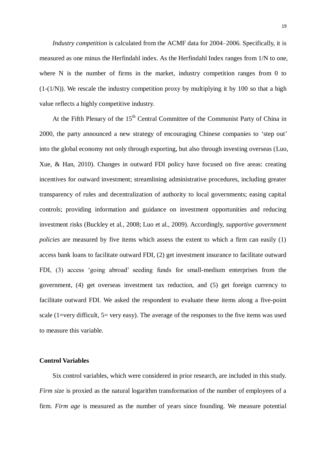*Industry competition* is calculated from the ACMF data for 2004–2006. Specifically, it is measured as one minus the Herfindahl index. As the Herfindahl Index ranges from 1/N to one, where N is the number of firms in the market, industry competition ranges from 0 to  $(1-(1/N))$ . We rescale the industry competition proxy by multiplying it by 100 so that a high value reflects a highly competitive industry.

At the Fifth Plenary of the  $15<sup>th</sup>$  Central Committee of the Communist Party of China in 2000, the party announced a new strategy of encouraging Chinese companies to "step out" into the global economy not only through exporting, but also through investing overseas (Luo, Xue, & Han, 2010). Changes in outward FDI policy have focused on five areas: creating incentives for outward investment; streamlining administrative procedures, including greater transparency of rules and decentralization of authority to local governments; easing capital controls; providing information and guidance on investment opportunities and reducing investment risks (Buckley et al., 2008; Luo et al., 2009). Accordingly, *supportive government policies* are measured by five items which assess the extent to which a firm can easily (1) access bank loans to facilitate outward FDI, (2) get investment insurance to facilitate outward FDI, (3) access "going abroad" seeding funds for small-medium enterprises from the government, (4) get overseas investment tax reduction, and (5) get foreign currency to facilitate outward FDI. We asked the respondent to evaluate these items along a five-point scale (1=very difficult, 5= very easy). The average of the responses to the five items was used to measure this variable.

#### **Control Variables**

Six control variables, which were considered in prior research, are included in this study. *Firm size* is proxied as the natural logarithm transformation of the number of employees of a firm. *Firm age* is measured as the number of years since founding. We measure potential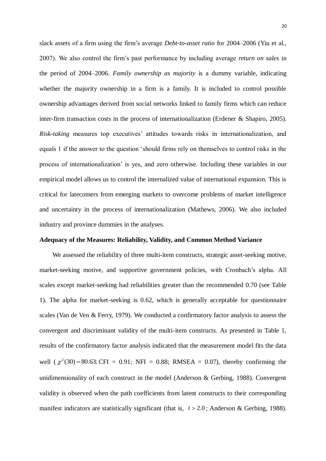slack assets of a firm using the firm"s average *Debt-to-asset ratio* for 2004–2006 (Yiu et al., 2007). We also control the firm"s past performance by including average *return on sales* in the period of 2004–2006. *Family ownership as majority* is a dummy variable, indicating whether the majority ownership in a firm is a family. It is included to control possible ownership advantages derived from social networks linked to family firms which can reduce inter-firm transaction costs in the process of internationalization (Erdener & Shapiro, 2005). *Risk-taking* measures top executives' attitudes towards risks in internationalization, and equals 1 if the answer to the question "should firms rely on themselves to control risks in the process of internationalization" is yes, and zero otherwise. Including these variables in our empirical model allows us to control the internalized value of international expansion. This is critical for latecomers from emerging markets to overcome problems of market intelligence and uncertainty in the process of internationalization (Mathews, 2006). We also included industry and province dummies in the analyses.

#### **Adequacy of the Measures: Reliability, Validity, and Common Method Variance**

We assessed the reliability of three multi-item constructs, strategic asset-seeking motive, market-seeking motive, and supportive government policies, with Cronbach"s alpha. All scales except market-seeking had reliabilities greater than the recommended 0.70 (see Table 1). The alpha for market-seeking is 0.62, which is generally acceptable for questionnaire scales (Van de Ven & Ferry, 1979). We conducted a confirmatory factor analysis to assess the convergent and discriminant validity of the multi-item constructs. As presented in Table 1, results of the confirmatory factor analysis indicated that the measurement model fits the data well ( $\chi^2(30) = 80.63$ ; CFI = 0.91; NFI = 0.88; RMSEA = 0.07), thereby confirming the unidimensionality of each construct in the model (Anderson & Gerbing, 1988). Convergent validity is observed when the path coefficients from latent constructs to their corresponding manifest indicators are statistically significant (that is,  $t > 2.0$ ; Anderson & Gerbing, 1988).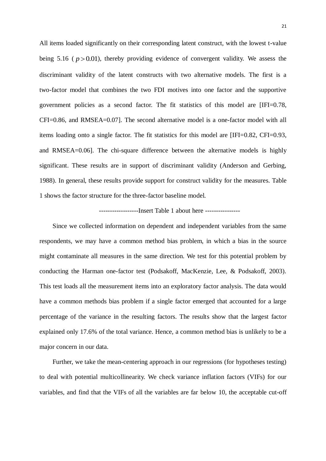All items loaded significantly on their corresponding latent construct, with the lowest t-value being 5.16 ( $p > 0.01$ ), thereby providing evidence of convergent validity. We assess the discriminant validity of the latent constructs with two alternative models. The first is a two-factor model that combines the two FDI motives into one factor and the supportive government policies as a second factor. The fit statistics of this model are [IFI=0.78, CFI=0.86, and RMSEA=0.07]. The second alternative model is a one-factor model with all items loading onto a single factor. The fit statistics for this model are [IFI=0.82, CFI=0.93, and RMSEA=0.06]. The chi-square difference between the alternative models is highly significant. These results are in support of discriminant validity (Anderson and Gerbing, 1988). In general, these results provide support for construct validity for the measures. Table 1 shows the factor structure for the three-factor baseline model.

#### ------------------Insert Table 1 about here ----------------

Since we collected information on dependent and independent variables from the same respondents, we may have a common method bias problem, in which a bias in the source might contaminate all measures in the same direction. We test for this potential problem by conducting the Harman one-factor test (Podsakoff, MacKenzie, Lee, & Podsakoff, 2003). This test loads all the measurement items into an exploratory factor analysis. The data would have a common methods bias problem if a single factor emerged that accounted for a large percentage of the variance in the resulting factors. The results show that the largest factor explained only 17.6% of the total variance. Hence, a common method bias is unlikely to be a major concern in our data.

Further, we take the mean-centering approach in our regressions (for hypotheses testing) to deal with potential multicollinearity. We check variance inflation factors (VIFs) for our variables, and find that the VIFs of all the variables are far below 10, the acceptable cut-off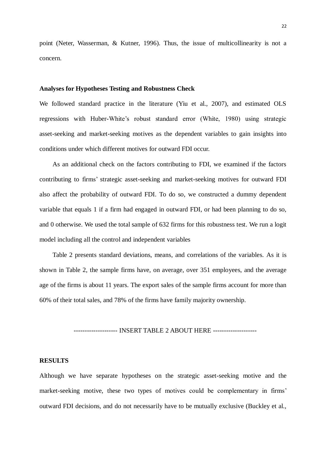point (Neter, Wasserman, & Kutner, 1996). Thus, the issue of multicollinearity is not a concern.

#### **Analyses for Hypotheses Testing and Robustness Check**

We followed standard practice in the literature (Yiu et al., 2007), and estimated OLS regressions with Huber-White's robust standard error (White, 1980) using strategic asset-seeking and market-seeking motives as the dependent variables to gain insights into conditions under which different motives for outward FDI occur.

As an additional check on the factors contributing to FDI, we examined if the factors contributing to firms" strategic asset-seeking and market-seeking motives for outward FDI also affect the probability of outward FDI. To do so, we constructed a dummy dependent variable that equals 1 if a firm had engaged in outward FDI, or had been planning to do so, and 0 otherwise. We used the total sample of 632 firms for this robustness test. We run a logit model including all the control and independent variables

Table 2 presents standard deviations, means, and correlations of the variables. As it is shown in Table 2, the sample firms have, on average, over 351 employees, and the average age of the firms is about 11 years. The export sales of the sample firms account for more than 60% of their total sales, and 78% of the firms have family majority ownership.

-------------------- INSERT TABLE 2 ABOUT HERE --------------------

#### **RESULTS**

Although we have separate hypotheses on the strategic asset-seeking motive and the market-seeking motive, these two types of motives could be complementary in firms' outward FDI decisions, and do not necessarily have to be mutually exclusive (Buckley et al.,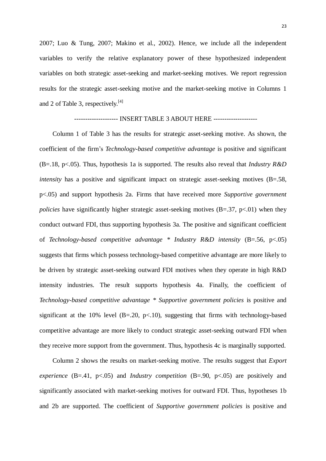2007; Luo & Tung, 2007; Makino et al., 2002). Hence, we include all the independent variables to verify the relative explanatory power of these hypothesized independent variables on both strategic asset-seeking and market-seeking motives. We report regression results for the strategic asset-seeking motive and the market-seeking motive in Columns 1 and 2 of Table 3, respectively.<sup>[4]</sup>

## -------------------- INSERT TABLE 3 ABOUT HERE --------------------

Column 1 of Table 3 has the results for strategic asset-seeking motive. As shown, the coefficient of the firm"s *Technology-based competitive advantage* is positive and significant (B=.18, p<.05). Thus, hypothesis 1a is supported. The results also reveal that *Industry R&D intensity* has a positive and significant impact on strategic asset-seeking motives (B=.58, p<.05) and support hypothesis 2a. Firms that have received more *Supportive government policies* have significantly higher strategic asset-seeking motives (B=.37, p<.01) when they conduct outward FDI, thus supporting hypothesis 3a. The positive and significant coefficient of *Technology-based competitive advantage \* Industry R&D intensity* (B=.56, p<.05) suggests that firms which possess technology-based competitive advantage are more likely to be driven by strategic asset-seeking outward FDI motives when they operate in high R&D intensity industries. The result supports hypothesis 4a. Finally, the coefficient of *Technology-based competitive advantage \* Supportive government policies* is positive and significant at the 10% level  $(B=.20, p<.10)$ , suggesting that firms with technology-based competitive advantage are more likely to conduct strategic asset-seeking outward FDI when they receive more support from the government. Thus, hypothesis 4c is marginally supported.

Column 2 shows the results on market-seeking motive. The results suggest that *Export experience* (B=.41, p<.05) and *Industry competition* (B=.90, p<.05) are positively and significantly associated with market-seeking motives for outward FDI. Thus, hypotheses 1b and 2b are supported. The coefficient of *Supportive government policies* is positive and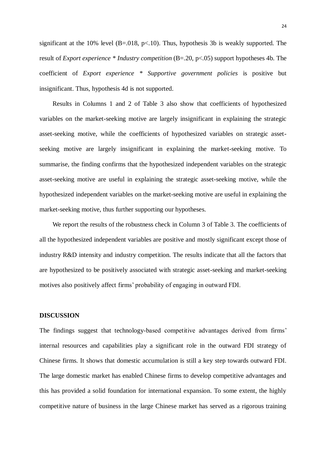significant at the 10% level (B=.018, p<.10). Thus, hypothesis 3b is weakly supported. The result of *Export experience \* Industry competition* (B=.20, p<.05) support hypotheses 4b. The coefficient of *Export experience \* Supportive government policies* is positive but insignificant. Thus, hypothesis 4d is not supported.

Results in Columns 1 and 2 of Table 3 also show that coefficients of hypothesized variables on the market-seeking motive are largely insignificant in explaining the strategic asset-seeking motive, while the coefficients of hypothesized variables on strategic assetseeking motive are largely insignificant in explaining the market-seeking motive. To summarise, the finding confirms that the hypothesized independent variables on the strategic asset-seeking motive are useful in explaining the strategic asset-seeking motive, while the hypothesized independent variables on the market-seeking motive are useful in explaining the market-seeking motive, thus further supporting our hypotheses.

We report the results of the robustness check in Column 3 of Table 3. The coefficients of all the hypothesized independent variables are positive and mostly significant except those of industry R&D intensity and industry competition. The results indicate that all the factors that are hypothesized to be positively associated with strategic asset-seeking and market-seeking motives also positively affect firms" probability of engaging in outward FDI.

#### **DISCUSSION**

The findings suggest that technology-based competitive advantages derived from firms' internal resources and capabilities play a significant role in the outward FDI strategy of Chinese firms. It shows that domestic accumulation is still a key step towards outward FDI. The large domestic market has enabled Chinese firms to develop competitive advantages and this has provided a solid foundation for international expansion. To some extent, the highly competitive nature of business in the large Chinese market has served as a rigorous training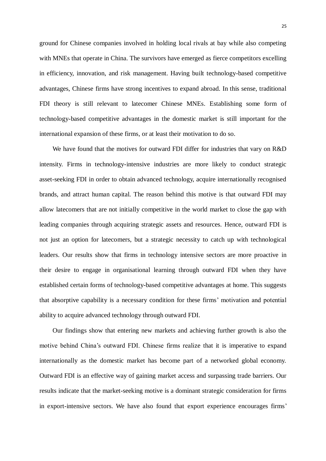ground for Chinese companies involved in holding local rivals at bay while also competing with MNEs that operate in China. The survivors have emerged as fierce competitors excelling in efficiency, innovation, and risk management. Having built technology-based competitive advantages, Chinese firms have strong incentives to expand abroad. In this sense, traditional FDI theory is still relevant to latecomer Chinese MNEs. Establishing some form of technology-based competitive advantages in the domestic market is still important for the international expansion of these firms, or at least their motivation to do so.

We have found that the motives for outward FDI differ for industries that vary on R&D intensity. Firms in technology-intensive industries are more likely to conduct strategic asset-seeking FDI in order to obtain advanced technology, acquire internationally recognised brands, and attract human capital. The reason behind this motive is that outward FDI may allow latecomers that are not initially competitive in the world market to close the gap with leading companies through acquiring strategic assets and resources. Hence, outward FDI is not just an option for latecomers, but a strategic necessity to catch up with technological leaders. Our results show that firms in technology intensive sectors are more proactive in their desire to engage in organisational learning through outward FDI when they have established certain forms of technology-based competitive advantages at home. This suggests that absorptive capability is a necessary condition for these firms" motivation and potential ability to acquire advanced technology through outward FDI.

Our findings show that entering new markets and achieving further growth is also the motive behind China"s outward FDI. Chinese firms realize that it is imperative to expand internationally as the domestic market has become part of a networked global economy. Outward FDI is an effective way of gaining market access and surpassing trade barriers. Our results indicate that the market-seeking motive is a dominant strategic consideration for firms in export-intensive sectors. We have also found that export experience encourages firms'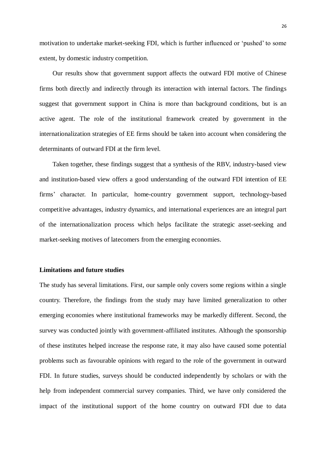motivation to undertake market-seeking FDI, which is further influenced or "pushed" to some extent, by domestic industry competition.

Our results show that government support affects the outward FDI motive of Chinese firms both directly and indirectly through its interaction with internal factors. The findings suggest that government support in China is more than background conditions, but is an active agent. The role of the institutional framework created by government in the internationalization strategies of EE firms should be taken into account when considering the determinants of outward FDI at the firm level.

Taken together, these findings suggest that a synthesis of the RBV, industry-based view and institution-based view offers a good understanding of the outward FDI intention of EE firms" character. In particular, home-country government support, technology-based competitive advantages, industry dynamics, and international experiences are an integral part of the internationalization process which helps facilitate the strategic asset-seeking and market-seeking motives of latecomers from the emerging economies.

#### **Limitations and future studies**

The study has several limitations. First, our sample only covers some regions within a single country. Therefore, the findings from the study may have limited generalization to other emerging economies where institutional frameworks may be markedly different. Second, the survey was conducted jointly with government-affiliated institutes. Although the sponsorship of these institutes helped increase the response rate, it may also have caused some potential problems such as favourable opinions with regard to the role of the government in outward FDI. In future studies, surveys should be conducted independently by scholars or with the help from independent commercial survey companies. Third, we have only considered the impact of the institutional support of the home country on outward FDI due to data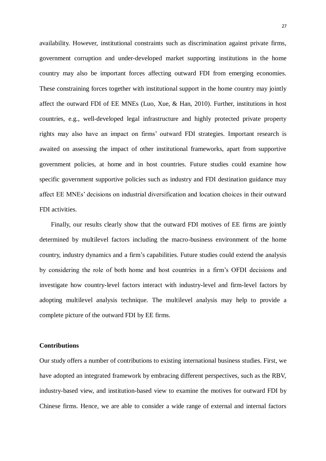availability. However, institutional constraints such as discrimination against private firms, government corruption and under-developed market supporting institutions in the home country may also be important forces affecting outward FDI from emerging economies. These constraining forces together with institutional support in the home country may jointly affect the outward FDI of EE MNEs (Luo, Xue, & Han, 2010). Further, institutions in host countries, e.g., well-developed legal infrastructure and highly protected private property rights may also have an impact on firms" outward FDI strategies. Important research is awaited on assessing the impact of other institutional frameworks, apart from supportive government policies, at home and in host countries. Future studies could examine how specific government supportive policies such as industry and FDI destination guidance may affect EE MNEs' decisions on industrial diversification and location choices in their outward FDI activities.

Finally, our results clearly show that the outward FDI motives of EE firms are jointly determined by multilevel factors including the macro-business environment of the home country, industry dynamics and a firm"s capabilities. Future studies could extend the analysis by considering the role of both home and host countries in a firm"s OFDI decisions and investigate how country-level factors interact with industry-level and firm-level factors by adopting multilevel analysis technique. The multilevel analysis may help to provide a complete picture of the outward FDI by EE firms.

#### **Contributions**

Our study offers a number of contributions to existing international business studies. First, we have adopted an integrated framework by embracing different perspectives, such as the RBV, industry-based view, and institution-based view to examine the motives for outward FDI by Chinese firms. Hence, we are able to consider a wide range of external and internal factors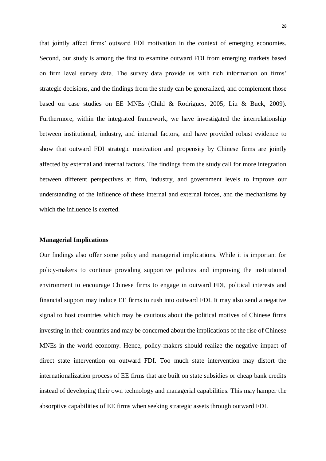that jointly affect firms" outward FDI motivation in the context of emerging economies. Second, our study is among the first to examine outward FDI from emerging markets based on firm level survey data. The survey data provide us with rich information on firms" strategic decisions, and the findings from the study can be generalized, and complement those based on case studies on EE MNEs (Child & Rodrigues, 2005; Liu & Buck, 2009). Furthermore, within the integrated framework, we have investigated the interrelationship between institutional, industry, and internal factors, and have provided robust evidence to show that outward FDI strategic motivation and propensity by Chinese firms are jointly affected by external and internal factors. The findings from the study call for more integration between different perspectives at firm, industry, and government levels to improve our understanding of the influence of these internal and external forces, and the mechanisms by which the influence is exerted.

#### **Managerial Implications**

Our findings also offer some policy and managerial implications. While it is important for policy-makers to continue providing supportive policies and improving the institutional environment to encourage Chinese firms to engage in outward FDI, political interests and financial support may induce EE firms to rush into outward FDI. It may also send a negative signal to host countries which may be cautious about the political motives of Chinese firms investing in their countries and may be concerned about the implications of the rise of Chinese MNEs in the world economy. Hence, policy-makers should realize the negative impact of direct state intervention on outward FDI. Too much state intervention may distort the internationalization process of EE firms that are built on state subsidies or cheap bank credits instead of developing their own technology and managerial capabilities. This may hamper the absorptive capabilities of EE firms when seeking strategic assets through outward FDI.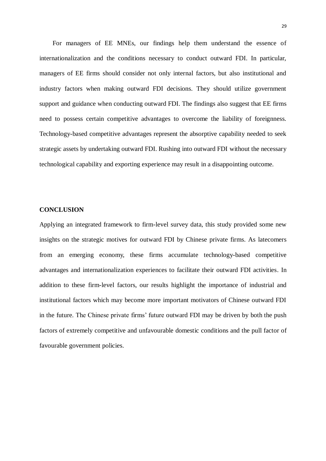For managers of EE MNEs, our findings help them understand the essence of internationalization and the conditions necessary to conduct outward FDI. In particular, managers of EE firms should consider not only internal factors, but also institutional and industry factors when making outward FDI decisions. They should utilize government support and guidance when conducting outward FDI. The findings also suggest that EE firms need to possess certain competitive advantages to overcome the liability of foreignness. Technology-based competitive advantages represent the absorptive capability needed to seek strategic assets by undertaking outward FDI. Rushing into outward FDI without the necessary technological capability and exporting experience may result in a disappointing outcome.

#### **CONCLUSION**

Applying an integrated framework to firm-level survey data, this study provided some new insights on the strategic motives for outward FDI by Chinese private firms. As latecomers from an emerging economy, these firms accumulate technology-based competitive advantages and internationalization experiences to facilitate their outward FDI activities. In addition to these firm-level factors, our results highlight the importance of industrial and institutional factors which may become more important motivators of Chinese outward FDI in the future. The Chinese private firms' future outward FDI may be driven by both the push factors of extremely competitive and unfavourable domestic conditions and the pull factor of favourable government policies.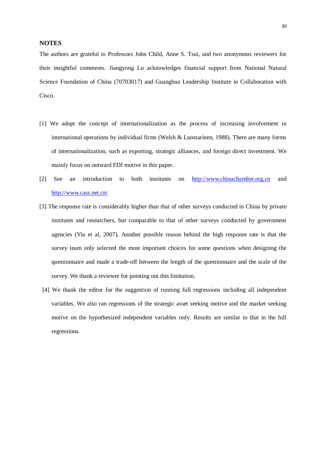#### **NOTES**

The authors are grateful to Professors John Child, Anne S. Tsui, and two anonymous reviewers for their insightful comments. Jiangyong Lu acknowledges financial support from National Natural Science Foundation of China (70703017) and Guanghua Leadership Institute in Collaboration with Cisco.

- [1] We adopt the concept of internationalization as the process of increasing involvement in international operations by individual firms (Welsh & Luostarinen, 1988). There are many forms of internationalization, such as exporting, strategic alliances, and foreign direct investment. We mainly focus on outward FDI motive in this paper.
- [2] See an introduction to both institutes on [http://www.chinachamber.org.cn](http://www.chinachamber.org.cn/English%20zy/introduction.htm) and <http://www.cass.net.cn/>
- [3] The response rate is considerably higher than that of other surveys conducted in China by private institutes and researchers, but comparable to that of other surveys conducted by government agencies (Yiu et al, 2007). Another possible reason behind the high response rate is that the survey team only selected the most important choices for some questions when designing the questionnaire and made a trade-off between the length of the questionnaire and the scale of the survey. We thank a reviewer for pointing out this limitation.
	- [4] We thank the editor for the suggestion of running full regressions including all independent variables. We also ran regressions of the strategic asset seeking motive and the market seeking motive on the hypothesized independent variables only. Results are similar to that in the full regressions.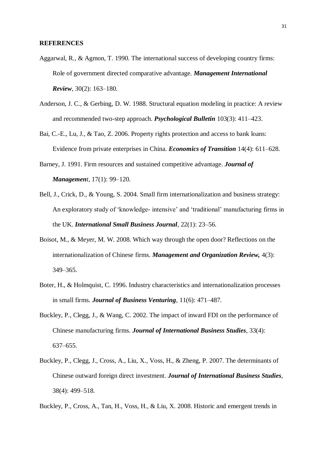#### **REFERENCES**

- Aggarwal, R., & Agmon, T. 1990. The international success of developing country firms: Role of government directed comparative advantage. *Management International Review*, 30(2): 163–180.
- Anderson, J. C., & Gerbing, D. W. 1988. Structural equation modeling in practice: A review and recommended two-step approach. *Psychological Bulletin* 103(3): 411–423.
- Bai, C.-E., Lu, J., & Tao, Z. 2006. Property rights protection and access to bank loans: Evidence from private enterprises in China. *Economics of Transition* 14(4): 611–628.
- Barney, J. 1991. Firm resources and sustained competitive advantage. *Journal of Management*, 17(1): 99–120.
- Bell, J., Crick, D., & Young, S. 2004. Small firm internationalization and business strategy: An exploratory study of "knowledge- intensive" and "traditional" manufacturing firms in the UK. *International Small Business Journal*, 22(1): 23–56.
- Boisot, M., & Meyer, M. W. 2008. Which way through the open door? Reflections on the internationalization of Chinese firms. *Management and Organization Review,* 4(3): 349–365.
- Boter, H., & Holmquist, C. 1996. Industry characteristics and internationalization processes in small firms. *Journal of Business Venturing,* 11(6): 471–487.
- Buckley, P., Clegg, J., & Wang, C. 2002. The impact of inward FDI on the performance of Chinese manufacturing firms. *Journal of International Business Studies*, 33(4): 637–655.
- Buckley, P., Clegg, J., Cross, A., Liu, X., Voss, H., & Zheng, P. 2007. The determinants of Chinese outward foreign direct investment. *Journal of International Business Studies*, 38(4): 499–518.
- Buckley, P., Cross, A., Tan, H., Voss, H., & Liu, X. 2008. Historic and emergent trends in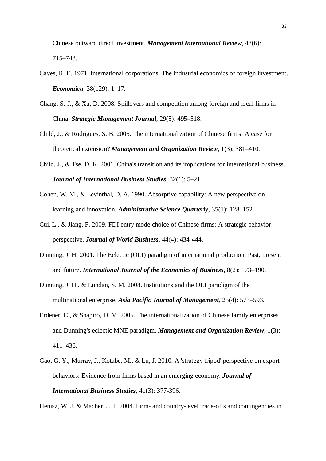Chinese outward direct investment. *Management International Review*, 48(6): 715–748.

- Caves, R. E. 1971. International corporations: The industrial economics of foreign investment. *Economica*, 38(129): 1–17.
- Chang, S.-J., & Xu, D. 2008. Spillovers and competition among foreign and local firms in China. *Strategic Management Journal*, 29(5): 495–518.
- Child, J., & Rodrigues, S. B. 2005. The internationalization of Chinese firms: A case for theoretical extension? *Management and Organization Review*, 1(3): 381–410.
- Child, J., & Tse, D. K. 2001. China's transition and its implications for international business. *Journal of International Business Studies*, 32(1): 5–21.
- Cohen, W. M., & Levinthal, D. A. 1990. Absorptive capability: A new perspective on learning and innovation. *Administrative Science Quarterly*, 35(1): 128–152.
- Cui, L., & Jiang, F. 2009. FDI entry mode choice of Chinese firms: A strategic behavior perspective. *Journal of World Business*, 44(4): 434-444.
- Dunning, J. H. 2001. The Eclectic (OLI) paradigm of international production: Past, present and future. *International Journal of the Economics of Business*, 8(2): 173–190.
- Dunning, J. H., & Lundan, S. M. 2008. Institutions and the OLI paradigm of the multinational enterprise. *Asia Pacific Journal of Management*, 25(4): 573–593.
- Erdener, C., & Shapiro, D. M. 2005. The internationalization of Chinese family enterprises and Dunning's eclectic MNE paradigm. *Management and Organization Review,* 1(3): 411–436.
- Gao, G. Y., Murray, J., Kotabe, M., & Lu, J. 2010. A 'strategy tripod' perspective on export behaviors: Evidence from firms based in an emerging economy. *Journal of International Business Studies*, 41(3): 377-396.

Henisz, W. J. & Macher, J. T. 2004. Firm- and country-level trade-offs and contingencies in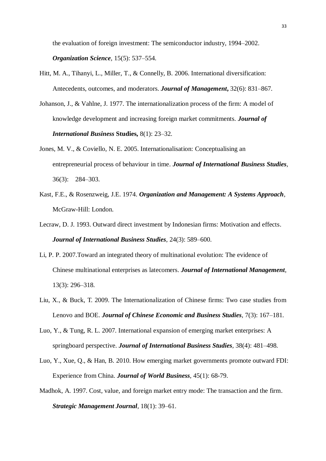the evaluation of foreign investment: The semiconductor industry, 1994–2002. *Organization Science*, 15(5): 537–554.

- Hitt, M. A., Tihanyi, L., Miller, T., & Connelly, B. 2006. International diversification: Antecedents, outcomes, and moderators. *Journal of Management***,** 32(6): 831–867.
- Johanson, J., & Vahlne, J. 1977. The internationalization process of the firm: A model of knowledge development and increasing foreign market commitments. *Journal of International Business* **Studies,** 8(1): 23–32.
- Jones, M. V., & Coviello, N. E. 2005. Internationalisation: Conceptualising an entrepreneurial process of behaviour in time. *Journal of International Business Studies*, 36(3): 284–303.
- Kast, F.E., & Rosenzweig, J.E. 1974. *Organization and Management: A Systems Approach,* McGraw-Hill: London.
- Lecraw, D. J. 1993. Outward direct investment by Indonesian firms: Motivation and effects. *Journal of International Business Studies*, 24(3): 589–600.
- Li, P. P. 2007.Toward an integrated theory of multinational evolution: The evidence of Chinese multinational enterprises as latecomers. *Journal of International Management*, 13(3): 296–318.
- Liu, X., & Buck, T. 2009. The Internationalization of Chinese firms: Two case studies from Lenovo and BOE. *Journal of Chinese Economic and Business Studies*, 7(3): 167–181.
- Luo, Y., & Tung, R. L. 2007. International expansion of emerging market enterprises: A springboard perspective. *Journal of International Business Studies,* 38(4): 481–498.
- Luo, Y., Xue, Q., & Han, B. 2010. How emerging market governments promote outward FDI: Experience from China. *Journal of World Business*, 45(1): 68-79.
- Madhok, A. 1997. Cost, value, and foreign market entry mode: The transaction and the firm. *Strategic Management Journal,* 18(1): 39–61.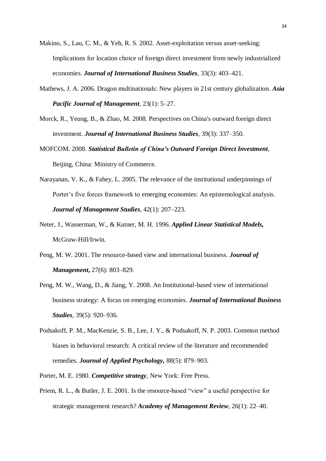- Makino, S., Lau, C. M., & Yeh, R. S. 2002. Asset-exploitation versus asset-seeking: Implications for location choice of foreign direct investment from newly industrialized economies. *Journal of International Business Studies*, 33(3): 403–421.
- Mathews, J. A. 2006. Dragon multinationals: New players in 21st century globalization. *Asia Pacific Journal of Management,* 23(1): 5–27.
- Morck, R., Yeung, B., & Zhao, M. 2008. Perspectives on China's outward foreign direct investment. *Journal of International Business Studies,* 39(3): 337–350.
- MOFCOM. 2008. *Statistical Bulletin of China's Outward Foreign Direct Investment*, Beijing, China: Ministry of Commerce.
- Narayanan, V. K., & Fahey, L. 2005. The relevance of the institutional underpinnings of Porter's five forces framework to emerging economies: An epistemological analysis. *Journal of Management Studies*, 42(1): 207–223.
- Neter, J., Wasserman, W., & Kutner, M. H. 1996. *Applied Linear Statistical Models,* McGraw-Hill/Irwin.
- Peng, M. W. 2001. The resource-based view and international business. *Journal of Management***,** 27(6): 803–829.
- Peng, M. W., Wang, D., & Jiang, Y. 2008. An Institutional-based view of international business strategy: A focus on emerging economies. *Journal of International Business Studies*, 39(5): 920–936.
- Podsakoff, P. M., MacKenzie, S. B., Lee, J. Y., & Podsakoff, N. P. 2003. Common method biases in behavioral research: A critical review of the literature and recommended remedies. *Journal of Applied Psychology,* 88(5): 879–903.
- Porter, M. E. 1980. *Competitive strategy*, New York: Free Press.
- Priem, R. L., & Butler, J. E. 2001. Is the resource-based "view" a useful perspective for strategic management research? *Academy of Management Review*, 26(1): 22–40.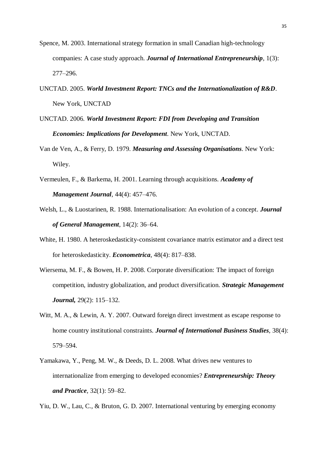- Spence, M. 2003. International strategy formation in small Canadian high-technology companies: A case study approach. *Journal of International Entrepreneurship*, 1(3): 277–296.
- UNCTAD. 2005. *World Investment Report: TNCs and the Internationalization of R&D*. New York, UNCTAD
- UNCTAD. 2006*. World Investment Report: FDI from Developing and Transition Economies: Implications for Development*. New York, UNCTAD.
- Van de Ven, A., & Ferry, D. 1979. *Measuring and Assessing Organisations*. New York: Wiley.
- Vermeulen, F., & Barkema, H. 2001. Learning through acquisitions. *Academy of Management Journal,* 44(4): 457–476.
- Welsh, L., & Luostarinen, R. 1988. Internationalisation: An evolution of a concept. *Journal of General Management*, 14(2): 36–64.
- White, H. 1980. A heteroskedasticity-consistent covariance matrix estimator and a direct test for heteroskedasticity. *Econometrica*, 48(4): 817–838.
- Wiersema, M. F., & Bowen, H. P. 2008. Corporate diversification: The impact of foreign competition, industry globalization, and product diversification. *Strategic Management Journal,* 29(2): 115–132.
- Witt, M. A., & Lewin, A. Y. 2007. Outward foreign direct investment as escape response to home country institutional constraints. *Journal of International Business Studies*, 38(4): 579–594.
- Yamakawa, Y., Peng, M. W., & Deeds, D. L. 2008. What drives new ventures to internationalize from emerging to developed economies? *Entrepreneurship: Theory and Practice*, 32(1): 59–82.

Yiu, D. W., Lau, C., & Bruton, G. D. 2007. International venturing by emerging economy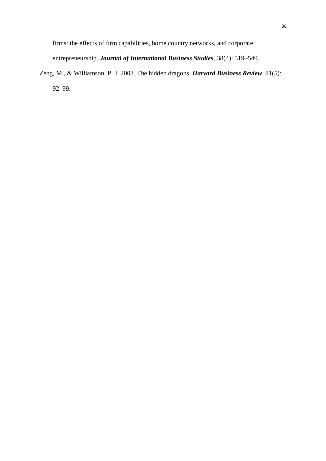firms: the effects of firm capabilities, home country networks, and corporate entrepreneurship. *Journal of International Business Studies*, 38(4): 519–540.

Zeng, M., & Williamson, P. J. 2003. The hidden dragons. *Harvard Business Review,* 81(5): 92–99.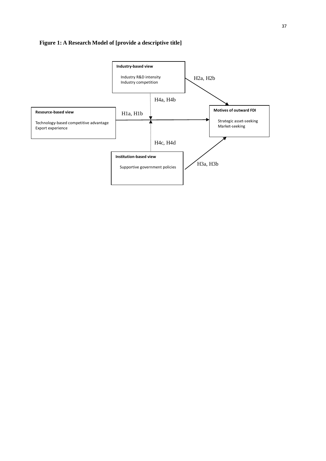# **Figure 1: A Research Model of [provide a descriptive title]**

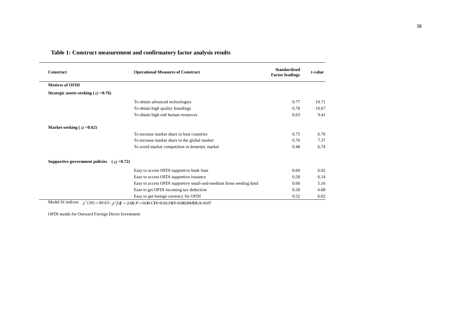| <b>Construct</b>                                    | <b>Operational Measures of Construct</b>                           |      | t-value |  |
|-----------------------------------------------------|--------------------------------------------------------------------|------|---------|--|
| <b>Motives of OFDI</b>                              |                                                                    |      |         |  |
| Strategic assets-seeking ( $\alpha$ =0.76)          |                                                                    |      |         |  |
|                                                     | To obtain advanced technologies                                    | 0.77 | 10.71   |  |
|                                                     | To obtain high quality brandings                                   | 0.78 | 10.67   |  |
|                                                     | To obtain high end human resources                                 | 0.63 | 9.41    |  |
| Market-seeking ( $\alpha$ =0.62)                    |                                                                    |      |         |  |
|                                                     | To increase market share in host countries                         | 0.75 | 6.70    |  |
|                                                     | To increase market share in the global market                      | 0.76 | 7.37    |  |
|                                                     | To avoid market competition in domestic market                     | 0.48 | 6.74    |  |
| Supportive government policies<br>$(\alpha = 0.72)$ |                                                                    |      |         |  |
|                                                     | Easy to access OFDI supportive bank loan                           | 0.69 | 6.02    |  |
|                                                     | Easy to access OFDI supportive issuance                            | 0.58 | 6.14    |  |
|                                                     | Easy to access OFDI supportive small-and-medium firms seeding fund | 0.60 | 5.16    |  |
|                                                     | Ease to get OFDI incoming tax deduction                            | 0.58 | 6.68    |  |
|                                                     | Easy to get foreign currency for OFDI                              | 0.52 | 6.02    |  |

**Table 1: Construct measurement and confirmatory factor analysis results**

Model fit indices:  $\chi^2$ (30) = 80.63;  $\chi^2/df$  = 2.68 P = 0.00 CFI=0.91;NFI=0.88;RMSEA=0.07

OFDI stands for Outward Foreign Direct Investment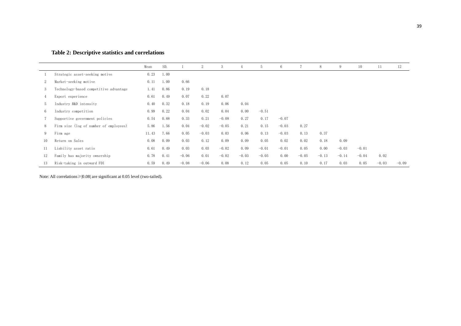# **Table 2: Descriptive statistics and correlations**

|    |                                        | Mean  | SD.  |         | 2       | 3       |         | 5       | 6       |         | 8       | 9       | 10      | 11      | 12      |
|----|----------------------------------------|-------|------|---------|---------|---------|---------|---------|---------|---------|---------|---------|---------|---------|---------|
|    | Strategic asset-seeking motive         | 0.23  | 1.00 |         |         |         |         |         |         |         |         |         |         |         |         |
| 2  | Market-seeking motive                  | 0.11  | 1.00 | 0.66    |         |         |         |         |         |         |         |         |         |         |         |
| 3  | Technology-based competitive advantage | 1.41  | 0.86 | 0.19    | 0.18    |         |         |         |         |         |         |         |         |         |         |
| 4  | Export experience                      | 0.61  | 0.49 | 0.07    | 0.22    | 0.07    |         |         |         |         |         |         |         |         |         |
| -5 | Industry R&D intensity                 | 0.40  | 0.32 | 0.18    | 0.19    | 0.06    | 0.04    |         |         |         |         |         |         |         |         |
| 6  | Industry competition                   | 0.99  | 0.22 | 0.04    | 0.02    | 0.04    | 0.00    | $-0.51$ |         |         |         |         |         |         |         |
|    | Supportive government policies         | 0.54  | 0.88 | 0.33    | 0.21    | $-0.08$ | 0.27    | 0.17    | $-0.07$ |         |         |         |         |         |         |
| 8  | Firm size (log of number of employees) | 5.86  | 1.56 | 0.04    | $-0.02$ | $-0.05$ | 0.21    | 0.15    | $-0.03$ | 0.27    |         |         |         |         |         |
| 9  | Firm age                               | 11.43 | 7.66 | 0.05    | $-0.03$ | 0.03    | 0.06    | 0.13    | $-0.03$ | 0.13    | 0.37    |         |         |         |         |
| 10 | Return on Sales                        | 0.08  | 0.09 | 0.03    | 0.12    | 0.09    | 0.09    | 0.05    | 0.02    | 0.02    | 0.18    | 0.09    |         |         |         |
| 11 | Liability asset ratio                  | 0.61  | 0.49 | 0.03    | 0.03    | $-0.02$ | 0.09    | $-0.01$ | $-0.01$ | 0.05    | 0.00    | $-0.03$ | $-0.01$ |         |         |
| 12 | Family has majority ownership          | 0.78  | 0.41 | $-0.06$ | 0.01    | $-0.02$ | $-0.03$ | $-0.05$ | 0.00    | $-0.05$ | $-0.13$ | $-0.14$ | $-0.04$ | 0.02    |         |
| 13 | Risk-taking in outward FDI             | 0.59  | 0.49 | $-0.08$ | $-0.06$ | 0.08    | 0.12    | 0.05    | 0.05    | 0.10    | 0.17    | 0.03    | 0.05    | $-0.03$ | $-0.09$ |

Note: All correlations≥|0.08| are significant at 0.05 level (two-tailed).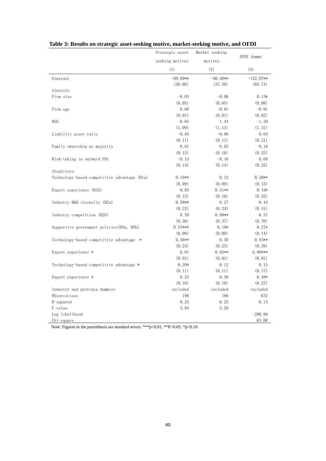|                                              | Strategic asset | Market seeking | OFDI dummy  |  |
|----------------------------------------------|-----------------|----------------|-------------|--|
|                                              | seeking motives | motives        |             |  |
|                                              | (1)             | (2)            | (3)         |  |
| Constant                                     | $-89.09**$      | $-90.40**$     | $-152.07**$ |  |
|                                              | (36.06)         | (37, 36)       | (69.74)     |  |
| Controls                                     |                 |                |             |  |
| Firm size                                    | $-0.03$         | $-0.08$        | $0.13*$     |  |
|                                              | (0.05)          | (0.05)         | (0.08)      |  |
| Firm age                                     | 0.00            | $-0.01$        | $-0.01$     |  |
|                                              | (0.01)          | (0.01)         | (0.02)      |  |
| <b>ROS</b>                                   | $-0.65$         | 1.44           | $-1.20$     |  |
|                                              | (1.09)          | (1.13)         | (1.31)      |  |
| Liability asset ratio                        | $-0.04$         | $-0.08$        | 0.04        |  |
|                                              | (0.11)          | (0.11)         | (0.21)      |  |
| Family ownership as majority                 | 0.01            | 0.05           | $-0.18$     |  |
|                                              | (0.15)          | (0.16)         | (0.25)      |  |
| Risk-taking in outward FDI                   | $-0.13$         | $-0.16$        | 0.08        |  |
|                                              | (0.14)          | (0.14)         | (0.22)      |  |
| Predictors                                   |                 |                |             |  |
| Technology-based competitive advantage (H1a) | $0.18**$        | 0.12           | $0.28**$    |  |
|                                              | (0.09)          | (0.09)         | (0.13)      |  |
| Export experience (H1b)                      | 0.03            | $0.41**$       | $0.44*$     |  |
|                                              | (0, 15)         | (0.16)         | (0.25)      |  |
| Industry R&D intensity (H2a)                 | $0.58**$        | 0.27           | 0.44        |  |
|                                              | (0.23)          | (0.24)         | (0.41)      |  |
| Industry competition (H2b)                   | 0.39            | $0.90**$       | 0.51        |  |
|                                              | (0.36)          | (0.37)         | (0.70)      |  |
| Supportive government policies (H3a, H3b)    | $0.37***$       | $0.18*$        | $0.27*$     |  |
|                                              | (0.09)          | (0.09)         | (0.14)      |  |
| Technology-based competitive advantage       | $0.56**$        | 0.30           | $0.83**$    |  |
|                                              | (0.24)          | (0.25)         | (0.39)      |  |
| Export experience *                          | 0.01            | $0.02**$       | $0.06***$   |  |
|                                              | (0.01)          | (0.01)         | (0.01)      |  |
| Technology-based competitive advantage *     | $0.20*$         | 0.12           | 0.15        |  |
|                                              | (0.11)          | (0.11)         | (0.17)      |  |
| Export experience *                          | 0.25            | 0.30           | $0.48*$     |  |
|                                              | (0.18)          | (0.19)         | (0.27)      |  |
| Industry and province dummies                | included        | included       | included    |  |
| Observations                                 | 198             | 198            | 632         |  |
| R-squared                                    | 0.25            | 0.22           | 0.14        |  |
| F value                                      | 3.94            | 3.28           |             |  |
| Log likelihood                               |                 |                | $-296.90$   |  |
| Chi-square                                   |                 |                | 63.00       |  |

# **Table 3: Results on strategic asset-seeking motive, market-seeking motive, and OFDI**

Note: Figures in the parenthesis are standard errors. \*\*\*p<0.01, \*\*P<0.05, \*p<0.10